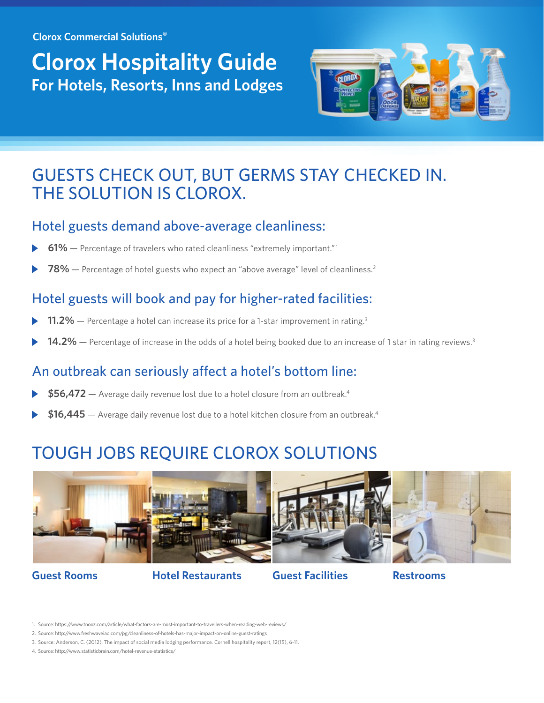**Clorox Commercial Solutions**®

# **Clorox Hospitality Guide For Hotels, Resorts, Inns and Lodges**



## GUESTS CHECK OUT, BUT GERMS STAY CHECKED IN. THE SOLUTION IS CLOROX.

#### Hotel guests demand above-average cleanliness:

- **61%** Percentage of travelers who rated cleanliness "extremely important."1
- **78%** Percentage of hotel guests who expect an "above average" level of cleanliness.<sup>2</sup>

## Hotel guests will book and pay for higher-rated facilities:

- **11.2%** Percentage a hotel can increase its price for a 1-star improvement in rating.<sup>3</sup>
- 14.2% Percentage of increase in the odds of a hotel being booked due to an increase of 1 star in rating reviews.<sup>3</sup>

## An outbreak can seriously affect a hotel's bottom line:

- **\$56,472** Average daily revenue lost due to a hotel closure from an outbreak.4
- **\$16,445** Average daily revenue lost due to a hotel kitchen closure from an outbreak.4

## TOUGH JOBS REQUIRE CLOROX SOLUTIONS



**Guest Rooms Hotel Restaurants Guest Facilities Restrooms**

<sup>1.</sup> Source: https://www.tnooz.com/article/what-factors-are-most-important-to-travellers-when-reading-web-reviews/

<sup>2.</sup> Source: http://www.freshwaveiag.com/pg/cleanliness-of-hotels-has-major-impact-on-online-guest-ratings

<sup>3.</sup> Source: Anderson, C. (2012). The impact of social media lodging performance. Cornell hospitality report, 12(15), 6-11.

<sup>4.</sup> Source: http://www.statisticbrain.com/hotel-revenue-statistics/